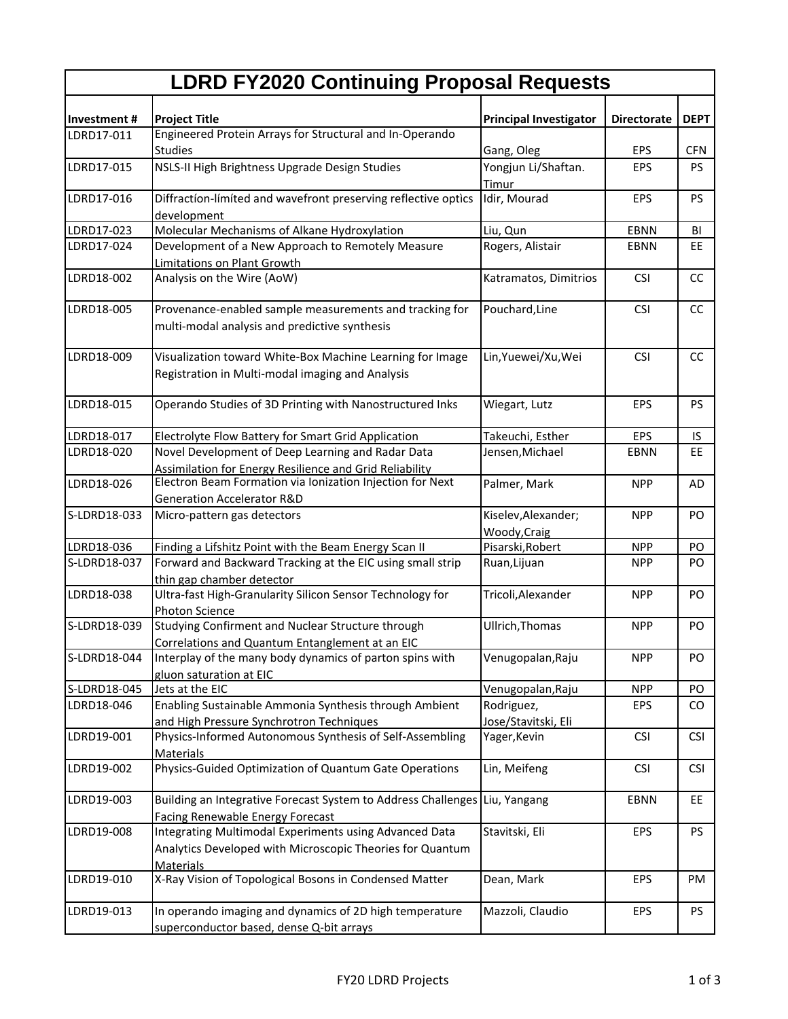| <b>LDRD FY2020 Continuing Proposal Requests</b> |                                                                                                                                         |                                     |                    |             |  |  |
|-------------------------------------------------|-----------------------------------------------------------------------------------------------------------------------------------------|-------------------------------------|--------------------|-------------|--|--|
| Investment#                                     | <b>Project Title</b>                                                                                                                    | <b>Principal Investigator</b>       | <b>Directorate</b> | <b>DEPT</b> |  |  |
| LDRD17-011                                      | Engineered Protein Arrays for Structural and In-Operando                                                                                |                                     |                    |             |  |  |
|                                                 | <b>Studies</b>                                                                                                                          | Gang, Oleg                          | <b>EPS</b>         | <b>CFN</b>  |  |  |
| LDRD17-015                                      | NSLS-II High Brightness Upgrade Design Studies                                                                                          | Yongjun Li/Shaftan.<br>Timur        | <b>EPS</b>         | <b>PS</b>   |  |  |
| LDRD17-016                                      | Diffraction-limited and wavefront preserving reflective optics<br>development                                                           | Idir, Mourad                        | <b>EPS</b>         | <b>PS</b>   |  |  |
| LDRD17-023                                      | Molecular Mechanisms of Alkane Hydroxylation                                                                                            | Liu, Qun                            | <b>EBNN</b>        | BI          |  |  |
| LDRD17-024                                      | Development of a New Approach to Remotely Measure<br>Limitations on Plant Growth                                                        | Rogers, Alistair                    | <b>EBNN</b>        | EE.         |  |  |
| LDRD18-002                                      | Analysis on the Wire (AoW)                                                                                                              | Katramatos, Dimitrios               | <b>CSI</b>         | CC          |  |  |
| LDRD18-005                                      | Provenance-enabled sample measurements and tracking for<br>multi-modal analysis and predictive synthesis                                | Pouchard, Line                      | <b>CSI</b>         | cc          |  |  |
| LDRD18-009                                      | Visualization toward White-Box Machine Learning for Image<br>Registration in Multi-modal imaging and Analysis                           | Lin, Yuewei/Xu, Wei                 | <b>CSI</b>         | cc          |  |  |
| LDRD18-015                                      | Operando Studies of 3D Printing with Nanostructured Inks                                                                                | Wiegart, Lutz                       | EPS                | <b>PS</b>   |  |  |
| LDRD18-017                                      | Electrolyte Flow Battery for Smart Grid Application                                                                                     | Takeuchi, Esther                    | <b>EPS</b>         | IS          |  |  |
| LDRD18-020                                      | Novel Development of Deep Learning and Radar Data<br>Assimilation for Energy Resilience and Grid Reliability                            | Jensen, Michael                     | <b>EBNN</b>        | EE          |  |  |
| LDRD18-026                                      | Electron Beam Formation via Ionization Injection for Next<br><b>Generation Accelerator R&amp;D</b>                                      | Palmer, Mark                        | <b>NPP</b>         | AD          |  |  |
| S-LDRD18-033                                    | Micro-pattern gas detectors                                                                                                             | Kiselev, Alexander;<br>Woody, Craig | <b>NPP</b>         | PO          |  |  |
| LDRD18-036                                      | Finding a Lifshitz Point with the Beam Energy Scan II                                                                                   | Pisarski, Robert                    | <b>NPP</b>         | PO          |  |  |
| S-LDRD18-037                                    | Forward and Backward Tracking at the EIC using small strip<br>thin gap chamber detector                                                 | Ruan, Lijuan                        | <b>NPP</b>         | PO.         |  |  |
| LDRD18-038                                      | Ultra-fast High-Granularity Silicon Sensor Technology for<br>Photon Science                                                             | Tricoli, Alexander                  | <b>NPP</b>         | PO          |  |  |
| S-LDRD18-039                                    | Studying Confirment and Nuclear Structure through<br>Correlations and Quantum Entanglement at an EIC                                    | Ullrich, Thomas                     | <b>NPP</b>         | PO          |  |  |
| S-LDRD18-044                                    | Interplay of the many body dynamics of parton spins with<br>gluon saturation at EIC                                                     | Venugopalan, Raju                   | <b>NPP</b>         | PO.         |  |  |
| S-LDRD18-045                                    | Jets at the EIC                                                                                                                         | Venugopalan, Raju                   | <b>NPP</b>         | PO          |  |  |
| LDRD18-046                                      | Enabling Sustainable Ammonia Synthesis through Ambient                                                                                  | Rodriguez,                          | <b>EPS</b>         | CO          |  |  |
| LDRD19-001                                      | and High Pressure Synchrotron Techniques<br>Physics-Informed Autonomous Synthesis of Self-Assembling                                    | Jose/Stavitski, Eli<br>Yager, Kevin | <b>CSI</b>         | <b>CSI</b>  |  |  |
| LDRD19-002                                      | Materials<br>Physics-Guided Optimization of Quantum Gate Operations                                                                     | Lin, Meifeng                        | <b>CSI</b>         | <b>CSI</b>  |  |  |
| LDRD19-003                                      | Building an Integrative Forecast System to Address Challenges Liu, Yangang<br><b>Facing Renewable Energy Forecast</b>                   |                                     | <b>EBNN</b>        | EE          |  |  |
| LDRD19-008                                      | Integrating Multimodal Experiments using Advanced Data<br>Analytics Developed with Microscopic Theories for Quantum<br><b>Materials</b> | Stavitski, Eli                      | <b>EPS</b>         | <b>PS</b>   |  |  |
| LDRD19-010                                      | X-Ray Vision of Topological Bosons in Condensed Matter                                                                                  | Dean, Mark                          | EPS                | PM          |  |  |
| LDRD19-013                                      | In operando imaging and dynamics of 2D high temperature<br>superconductor based, dense Q-bit arrays                                     | Mazzoli, Claudio                    | <b>EPS</b>         | PS          |  |  |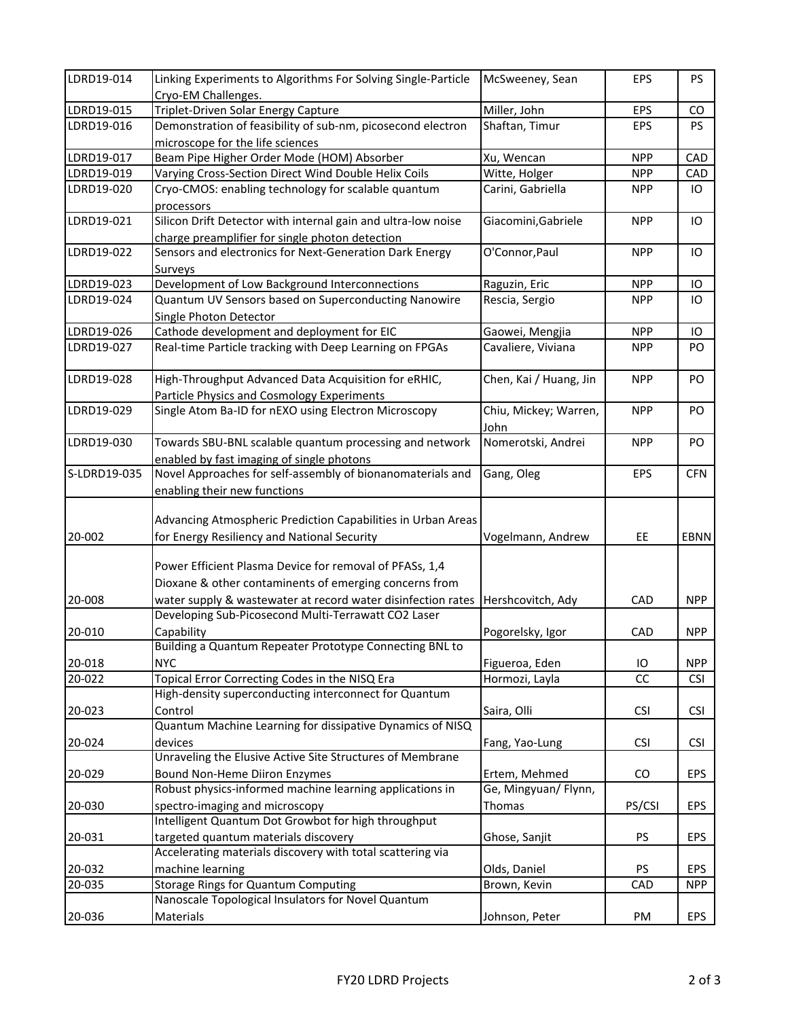| LDRD19-014   | Linking Experiments to Algorithms For Solving Single-Particle<br>Cryo-EM Challenges.                              | McSweeney, Sean               | <b>EPS</b> | <b>PS</b>      |
|--------------|-------------------------------------------------------------------------------------------------------------------|-------------------------------|------------|----------------|
| LDRD19-015   | Triplet-Driven Solar Energy Capture                                                                               | Miller, John                  | <b>EPS</b> | CO             |
| LDRD19-016   | Demonstration of feasibility of sub-nm, picosecond electron<br>microscope for the life sciences                   | Shaftan, Timur                | EPS        | PS.            |
| LDRD19-017   | Beam Pipe Higher Order Mode (HOM) Absorber                                                                        | Xu, Wencan                    | <b>NPP</b> | CAD            |
| LDRD19-019   | Varying Cross-Section Direct Wind Double Helix Coils                                                              | Witte, Holger                 | <b>NPP</b> | CAD            |
| LDRD19-020   | Cryo-CMOS: enabling technology for scalable quantum<br>processors                                                 | Carini, Gabriella             | <b>NPP</b> | IО             |
| LDRD19-021   | Silicon Drift Detector with internal gain and ultra-low noise<br>charge preamplifier for single photon detection  | Giacomini, Gabriele           | <b>NPP</b> | IO             |
| LDRD19-022   | Sensors and electronics for Next-Generation Dark Energy<br>Surveys                                                | O'Connor, Paul                | <b>NPP</b> | IO             |
| LDRD19-023   | Development of Low Background Interconnections                                                                    | Raguzin, Eric                 | <b>NPP</b> | IО             |
| LDRD19-024   | Quantum UV Sensors based on Superconducting Nanowire<br>Single Photon Detector                                    | Rescia, Sergio                | <b>NPP</b> | IO             |
| LDRD19-026   | Cathode development and deployment for EIC                                                                        | Gaowei, Mengjia               | <b>NPP</b> | IО             |
| LDRD19-027   | Real-time Particle tracking with Deep Learning on FPGAs                                                           | Cavaliere, Viviana            | <b>NPP</b> | PO.            |
| LDRD19-028   | High-Throughput Advanced Data Acquisition for eRHIC,<br><b>Particle Physics and Cosmology Experiments</b>         | Chen, Kai / Huang, Jin        | <b>NPP</b> | PO.            |
| LDRD19-029   | Single Atom Ba-ID for nEXO using Electron Microscopy                                                              | Chiu, Mickey; Warren,<br>John | <b>NPP</b> | P <sub>O</sub> |
| LDRD19-030   | Towards SBU-BNL scalable quantum processing and network<br>enabled by fast imaging of single photons              | Nomerotski, Andrei            | <b>NPP</b> | PO.            |
| S-LDRD19-035 | Novel Approaches for self-assembly of bionanomaterials and<br>enabling their new functions                        | Gang, Oleg                    | <b>EPS</b> | <b>CFN</b>     |
| 20-002       | Advancing Atmospheric Prediction Capabilities in Urban Areas<br>for Energy Resiliency and National Security       | Vogelmann, Andrew             | <b>EE</b>  | EBNN           |
|              | Power Efficient Plasma Device for removal of PFASs, 1,4<br>Dioxane & other contaminents of emerging concerns from |                               |            |                |
| 20-008       | water supply & wastewater at record water disinfection rates                                                      | Hershcovitch, Ady             | CAD        | <b>NPP</b>     |
|              | Developing Sub-Picosecond Multi-Terrawatt CO2 Laser                                                               |                               |            |                |
| 20-010       | Capability                                                                                                        | Pogorelsky, Igor              | CAD        | <b>NPP</b>     |
|              | Building a Quantum Repeater Prototype Connecting BNL to                                                           |                               |            |                |
| 20-018       | <b>NYC</b>                                                                                                        | Figueroa, Eden                | IO         | <b>NPP</b>     |
| 20-022       | Topical Error Correcting Codes in the NISQ Era                                                                    | Hormozi, Layla                | cc         | <b>CSI</b>     |
| 20-023       | High-density superconducting interconnect for Quantum<br>Control                                                  | Saira, Olli                   | <b>CSI</b> | <b>CSI</b>     |
| 20-024       | Quantum Machine Learning for dissipative Dynamics of NISQ<br>devices                                              | Fang, Yao-Lung                | <b>CSI</b> | <b>CSI</b>     |
|              | Unraveling the Elusive Active Site Structures of Membrane                                                         |                               |            |                |
| 20-029       | Bound Non-Heme Diiron Enzymes                                                                                     | Ertem, Mehmed                 | CO.        | EPS            |
|              | Robust physics-informed machine learning applications in                                                          | Ge, Mingyuan/ Flynn,          |            |                |
| 20-030       | spectro-imaging and microscopy<br>Intelligent Quantum Dot Growbot for high throughput                             | Thomas                        | PS/CSI     | <b>EPS</b>     |
|              |                                                                                                                   |                               |            |                |
| 20-031       | targeted quantum materials discovery                                                                              | Ghose, Sanjit                 | <b>PS</b>  | <b>EPS</b>     |
|              | Accelerating materials discovery with total scattering via                                                        |                               |            |                |
| 20-032       | machine learning                                                                                                  | Olds, Daniel                  | <b>PS</b>  | <b>EPS</b>     |
| 20-035       | Storage Rings for Quantum Computing                                                                               | Brown, Kevin                  | CAD        | <b>NPP</b>     |
| 20-036       | Nanoscale Topological Insulators for Novel Quantum<br>Materials                                                   | Johnson, Peter                | PM         | EPS            |